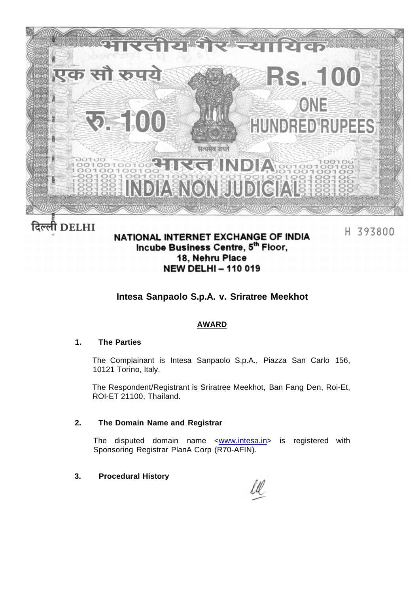

# दिल्ली DELHI

# NATIONAL INTERNET EXCHANGE OF INDIA Incube Business Centre, 5th Floor, 18. Nehru Place **NEW DELHI - 110 019**

H 393800

# **Intesa Sanpaolo S.p.A. v. Sriratree Meekhot**

## **AWARD**

#### **1. The Parties**

The Complainant is Intesa Sanpaolo S.p.A., Piazza San Carlo 156, 10121 Torino, Italy.

The Respondent/Registrant is Sriratree Meekhot, Ban Fang Den, Roi-Et, ROI-ET 21100, Thailand.

#### **2. The Domain Name and Registrar**

The disputed domain name <[www.intesa.in>](http://www.intesa.in) is registered with Sponsoring Registrar PlanA Corp (R70-AFIN).

#### **3. Procedural History**

ll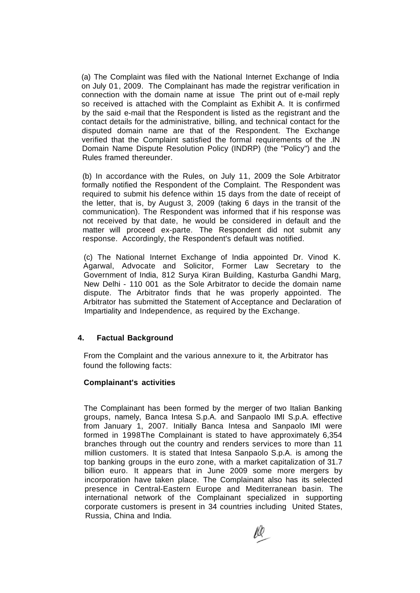(a) The Complaint was filed with the National Internet Exchange of India on July 01, 2009. The Complainant has made the registrar verification in connection with the domain name at issue The print out of e-mail reply so received is attached with the Complaint as Exhibit A. It is confirmed by the said e-mail that the Respondent is listed as the registrant and the contact details for the administrative, billing, and technical contact for the disputed domain name are that of the Respondent. The Exchange verified that the Complaint satisfied the formal requirements of the .IN Domain Name Dispute Resolution Policy (INDRP) (the "Policy") and the Rules framed thereunder.

(b) In accordance with the Rules, on July 11, 2009 the Sole Arbitrator formally notified the Respondent of the Complaint. The Respondent was required to submit his defence within 15 days from the date of receipt of the letter, that is, by August 3, 2009 (taking 6 days in the transit of the communication). The Respondent was informed that if his response was not received by that date, he would be considered in default and the matter will proceed ex-parte. The Respondent did not submit any response. Accordingly, the Respondent's default was notified.

(c) The National Internet Exchange of India appointed Dr. Vinod K. Agarwal, Advocate and Solicitor, Former Law Secretary to the Government of India, 812 Surya Kiran Building, Kasturba Gandhi Marg, New Delhi - 110 001 as the Sole Arbitrator to decide the domain name dispute. The Arbitrator finds that he was properly appointed. The Arbitrator has submitted the Statement of Acceptance and Declaration of Impartiality and Independence, as required by the Exchange.

#### **4. Factual Background**

From the Complaint and the various annexure to it, the Arbitrator has found the following facts:

#### **Complainant's activities**

The Complainant has been formed by the merger of two Italian Banking groups, namely, Banca Intesa S.p.A. and Sanpaolo IMI S.p.A. effective from January 1, 2007. Initially Banca Intesa and Sanpaolo IMI were formed in 1998The Complainant is stated to have approximately 6,354 branches through out the country and renders services to more than 11 million customers. It is stated that Intesa Sanpaolo S.p.A. is among the top banking groups in the euro zone, with a market capitalization of 31.7 billion euro. It appears that in June 2009 some more mergers by incorporation have taken place. The Complainant also has its selected presence in Central-Eastern Europe and Mediterranean basin. The international network of the Complainant specialized in supporting corporate customers is present in 34 countries including United States, Russia, China and India.

lQ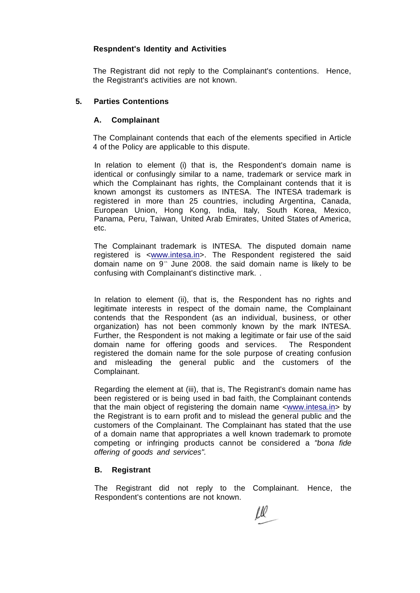#### **Respndent's Identity and Activities**

The Registrant did not reply to the Complainant's contentions. Hence, the Registrant's activities are not known.

#### **5. Parties Contentions**

#### **A. Complainant**

The Complainant contends that each of the elements specified in Article 4 of the Policy are applicable to this dispute.

In relation to element (i) that is, the Respondent's domain name is identical or confusingly similar to a name, trademark or service mark in which the Complainant has rights, the Complainant contends that it is known amongst its customers as INTESA. The INTESA trademark is registered in more than 25 countries, including Argentina, Canada, European Union, Hong Kong, India, Italy, South Korea, Mexico, Panama, Peru, Taiwan, United Arab Emirates, United States of America, etc.

The Complainant trademark is INTESA. The disputed domain name registered is [<www.intesa.in>.](http://www.intesa.in) The Respondent registered the said domain name on 9<sup>th</sup> June 2008. the said domain name is likely to be confusing with Complainant's distinctive mark. .

In relation to element (ii), that is, the Respondent has no rights and legitimate interests in respect of the domain name, the Complainant contends that the Respondent (as an individual, business, or other organization) has not been commonly known by the mark INTESA. Further, the Respondent is not making a legitimate or fair use of the said domain name for offering goods and services. The Respondent registered the domain name for the sole purpose of creating confusion and misleading the general public and the customers of the Complainant.

Regarding the element at (iii), that is, The Registrant's domain name has been registered or is being used in bad faith, the Complainant contends that the main object of registering the domain name [<www.intesa.in>](http://www.intesa.in) by the Registrant is to earn profit and to mislead the general public and the customers of the Complainant. The Complainant has stated that the use of a domain name that appropriates a well known trademark to promote competing or infringing products cannot be considered a "bona fide offering of goods and services".

#### **B. Registrant**

The Registrant did not reply to the Complainant. Hence, the Respondent's contentions are not known.

Lll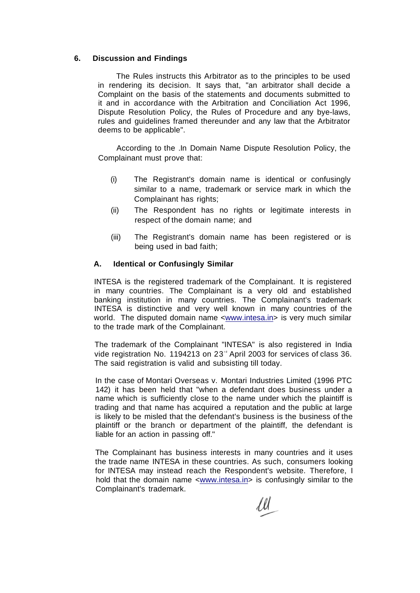#### **6. Discussion and Findings**

The Rules instructs this Arbitrator as to the principles to be used in rendering its decision. It says that, "an arbitrator shall decide a Complaint on the basis of the statements and documents submitted to it and in accordance with the Arbitration and Conciliation Act 1996, Dispute Resolution Policy, the Rules of Procedure and any bye-laws, rules and guidelines framed thereunder and any law that the Arbitrator deems to be applicable".

According to the .In Domain Name Dispute Resolution Policy, the Complainant must prove that:

- (i) The Registrant's domain name is identical or confusingly similar to a name, trademark or service mark in which the Complainant has rights;
- (ii) The Respondent has no rights or legitimate interests in respect of the domain name; and
- (iii) The Registrant's domain name has been registered or is being used in bad faith;

#### **A. Identical or Confusingly Similar**

INTESA is the registered trademark of the Complainant. It is registered in many countries. The Complainant is a very old and established banking institution in many countries. The Complainant's trademark INTESA is distinctive and very well known in many countries of the world. The disputed domain name <[www.intesa.in>](http://www.intesa.in) is very much similar to the trade mark of the Complainant.

The trademark of the Complainant "INTESA" is also registered in India vide registration No. 1194213 on 23<sup>®</sup> April 2003 for services of class 36. The said registration is valid and subsisting till today.

In the case of Montari Overseas v. Montari Industries Limited (1996 PTC 142) it has been held that "when a defendant does business under a name which is sufficiently close to the name under which the plaintiff is trading and that name has acquired a reputation and the public at large is likely to be misled that the defendant's business is the business of the plaintiff or the branch or department of the plaintiff, the defendant is liable for an action in passing off."

The Complainant has business interests in many countries and it uses the trade name INTESA in these countries. As such, consumers looking for INTESA may instead reach the Respondent's website. Therefore, I hold that the domain name <[www.intesa.in>](http://www.intesa.in) is confusingly similar to the Complainant's trademark.

 $\ell\ell$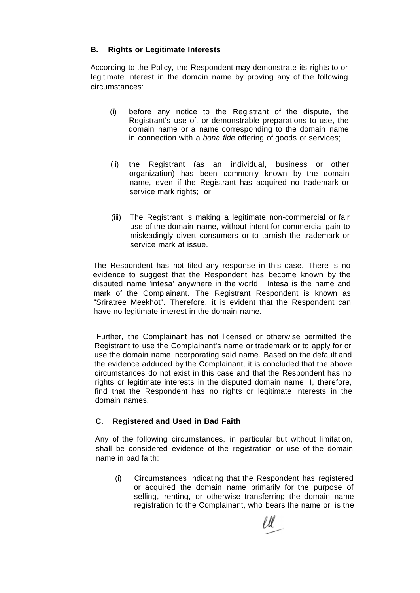### **B. Rights or Legitimate Interests**

According to the Policy, the Respondent may demonstrate its rights to or legitimate interest in the domain name by proving any of the following circumstances:

- (i) before any notice to the Registrant of the dispute, the Registrant's use of, or demonstrable preparations to use, the domain name or a name corresponding to the domain name in connection with a *bona fide* offering of goods or services;
- (ii) the Registrant (as an individual, business or other organization) has been commonly known by the domain name, even if the Registrant has acquired no trademark or service mark rights; or
- (iii) The Registrant is making a legitimate non-commercial or fair use of the domain name, without intent for commercial gain to misleadingly divert consumers or to tarnish the trademark or service mark at issue.

The Respondent has not filed any response in this case. There is no evidence to suggest that the Respondent has become known by the disputed name 'intesa' anywhere in the world. Intesa is the name and mark of the Complainant. The Registrant Respondent is known as "Sriratree Meekhot". Therefore, it is evident that the Respondent can have no legitimate interest in the domain name.

Further, the Complainant has not licensed or otherwise permitted the Registrant to use the Complainant's name or trademark or to apply for or use the domain name incorporating said name. Based on the default and the evidence adduced by the Complainant, it is concluded that the above circumstances do not exist in this case and that the Respondent has no rights or legitimate interests in the disputed domain name. I, therefore, find that the Respondent has no rights or legitimate interests in the domain names.

#### **C. Registered and Used in Bad Faith**

Any of the following circumstances, in particular but without limitation, shall be considered evidence of the registration or use of the domain name in bad faith:

(i) Circumstances indicating that the Respondent has registered or acquired the domain name primarily for the purpose of selling, renting, or otherwise transferring the domain name registration to the Complainant, who bears the name or is the

'U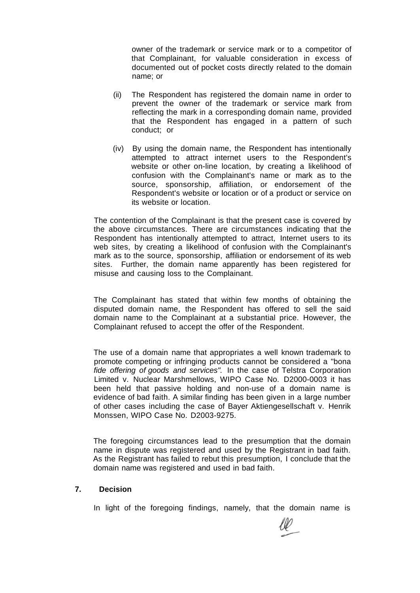owner of the trademark or service mark or to a competitor of that Complainant, for valuable consideration in excess of documented out of pocket costs directly related to the domain name; or

- (ii) The Respondent has registered the domain name in order to prevent the owner of the trademark or service mark from reflecting the mark in a corresponding domain name, provided that the Respondent has engaged in a pattern of such conduct; or
- (iv) By using the domain name, the Respondent has intentionally attempted to attract internet users to the Respondent's website or other on-line location, by creating a likelihood of confusion with the Complainant's name or mark as to the source, sponsorship, affiliation, or endorsement of the Respondent's website or location or of a product or service on its website or location.

The contention of the Complainant is that the present case is covered by the above circumstances. There are circumstances indicating that the Respondent has intentionally attempted to attract, Internet users to its web sites, by creating a likelihood of confusion with the Complainant's mark as to the source, sponsorship, affiliation or endorsement of its web sites. Further, the domain name apparently has been registered for misuse and causing loss to the Complainant.

The Complainant has stated that within few months of obtaining the disputed domain name, the Respondent has offered to sell the said domain name to the Complainant at a substantial price. However, the Complainant refused to accept the offer of the Respondent.

The use of a domain name that appropriates a well known trademark to promote competing or infringing products cannot be considered a "bona fide offering of goods and services". In the case of Telstra Corporation Limited v. Nuclear Marshmellows, WIPO Case No. D2000-0003 it has been held that passive holding and non-use of a domain name is evidence of bad faith. A similar finding has been given in a large number of other cases including the case of Bayer Aktiengesellschaft v. Henrik Monssen, WIPO Case No. D2003-9275.

The foregoing circumstances lead to the presumption that the domain name in dispute was registered and used by the Registrant in bad faith. As the Registrant has failed to rebut this presumption, I conclude that the domain name was registered and used in bad faith.

#### **7. Decision**

In light of the foregoing findings, namely, that the domain name is